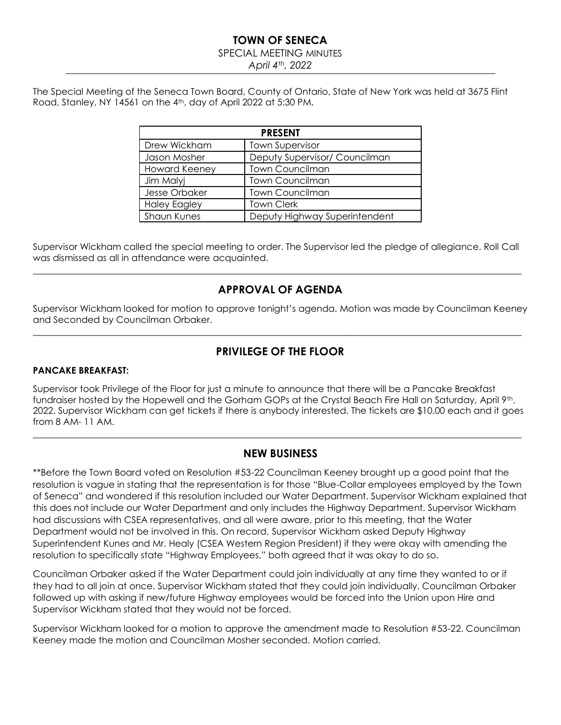#### **TOWN OF SENECA**

#### SPECIAL MEETING MINUTES

*April 4th, 2022*

The Special Meeting of the Seneca Town Board, County of Ontario, State of New York was held at 3675 Flint Road, Stanley, NY 14561 on the 4th, day of April 2022 at 5:30 PM.

| <b>PRESENT</b>       |                               |  |  |  |
|----------------------|-------------------------------|--|--|--|
| Drew Wickham         | <b>Town Supervisor</b>        |  |  |  |
| Jason Mosher         | Deputy Supervisor/ Councilman |  |  |  |
| <b>Howard Keeney</b> | <b>Town Councilman</b>        |  |  |  |
| Jim Malyj            | <b>Town Councilman</b>        |  |  |  |
| Jesse Orbaker        | <b>Town Councilman</b>        |  |  |  |
| <b>Haley Eagley</b>  | <b>Town Clerk</b>             |  |  |  |
| <b>Shaun Kunes</b>   | Deputy Highway Superintendent |  |  |  |

Supervisor Wickham called the special meeting to order. The Supervisor led the pledge of allegiance. Roll Call was dismissed as all in attendance were acquainted.

 $\_$  ,  $\_$  ,  $\_$  ,  $\_$  ,  $\_$  ,  $\_$  ,  $\_$  ,  $\_$  ,  $\_$  ,  $\_$  ,  $\_$  ,  $\_$  ,  $\_$  ,  $\_$  ,  $\_$  ,  $\_$  ,  $\_$  ,  $\_$  ,  $\_$  ,  $\_$  ,  $\_$  ,  $\_$  ,  $\_$  ,  $\_$  ,  $\_$  ,  $\_$  ,  $\_$  ,  $\_$  ,  $\_$  ,  $\_$  ,  $\_$  ,  $\_$  ,  $\_$  ,  $\_$  ,  $\_$  ,  $\_$  ,  $\_$  ,

# **APPROVAL OF AGENDA**

Supervisor Wickham looked for motion to approve tonight's agenda. Motion was made by Councilman Keeney and Seconded by Councilman Orbaker.

## **PRIVILEGE OF THE FLOOR**

 $\_$  ,  $\_$  ,  $\_$  ,  $\_$  ,  $\_$  ,  $\_$  ,  $\_$  ,  $\_$  ,  $\_$  ,  $\_$  ,  $\_$  ,  $\_$  ,  $\_$  ,  $\_$  ,  $\_$  ,  $\_$  ,  $\_$  ,  $\_$  ,  $\_$  ,  $\_$  ,  $\_$  ,  $\_$  ,  $\_$  ,  $\_$  ,  $\_$  ,  $\_$  ,  $\_$  ,  $\_$  ,  $\_$  ,  $\_$  ,  $\_$  ,  $\_$  ,  $\_$  ,  $\_$  ,  $\_$  ,  $\_$  ,  $\_$  ,

#### **PANCAKE BREAKFAST:**

Supervisor took Privilege of the Floor for just a minute to announce that there will be a Pancake Breakfast fundraiser hosted by the Hopewell and the Gorham GOPs at the Crystal Beach Fire Hall on Saturday, April 9th, 2022. Supervisor Wickham can get tickets if there is anybody interested. The tickets are \$10.00 each and it goes from 8 AM- 11 AM.

 $\_$  , and the set of the set of the set of the set of the set of the set of the set of the set of the set of the set of the set of the set of the set of the set of the set of the set of the set of the set of the set of th

#### **NEW BUSINESS**

\*\*Before the Town Board voted on Resolution #53-22 Councilman Keeney brought up a good point that the resolution is vague in stating that the representation is for those "Blue-Collar employees employed by the Town of Seneca" and wondered if this resolution included our Water Department. Supervisor Wickham explained that this does not include our Water Department and only includes the Highway Department. Supervisor Wickham had discussions with CSEA representatives, and all were aware, prior to this meeting, that the Water Department would not be involved in this. On record, Supervisor Wickham asked Deputy Highway Superintendent Kunes and Mr. Healy (CSEA Western Region President) if they were okay with amending the resolution to specifically state "Highway Employees," both agreed that it was okay to do so.

Councilman Orbaker asked if the Water Department could join individually at any time they wanted to or if they had to all join at once. Supervisor Wickham stated that they could join individually. Councilman Orbaker followed up with asking if new/future Highway employees would be forced into the Union upon Hire and Supervisor Wickham stated that they would not be forced.

Supervisor Wickham looked for a motion to approve the amendment made to Resolution #53-22. Councilman Keeney made the motion and Councilman Mosher seconded. Motion carried.